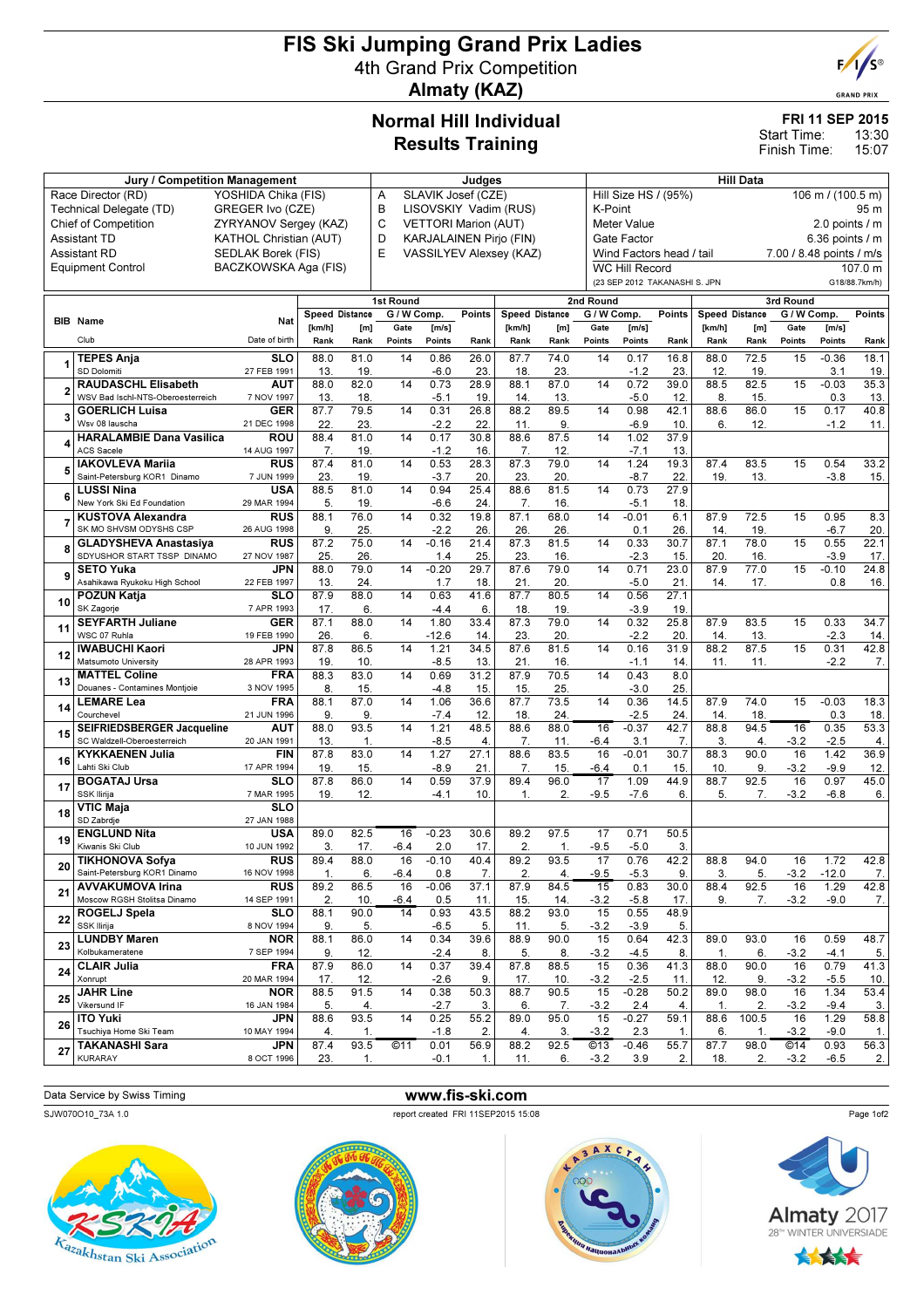# FIS Ski Jumping Grand Prix Ladies 4th Grand Prix Competition Almaty (KAZ)



**GRAND PRIX** 

### Normal Hill Individual Results Training

## FRI 11 SEP 2015

13:30 15:07 Start Time: Finish Time:

|                | Jury / Competition Management                           |                               | Judges                   |                |                                     |                         |                                |                       | <b>Hill Data</b> |                   |                                                |             |                |                |                          |                 |             |  |
|----------------|---------------------------------------------------------|-------------------------------|--------------------------|----------------|-------------------------------------|-------------------------|--------------------------------|-----------------------|------------------|-------------------|------------------------------------------------|-------------|----------------|----------------|--------------------------|-----------------|-------------|--|
|                | Race Director (RD)                                      |                               | YOSHIDA Chika (FIS)      |                |                                     | SLAVIK Josef (CZE)<br>Α |                                |                       |                  |                   | Hill Size HS / (95%)<br>106 m / (100.5 m)      |             |                |                |                          |                 |             |  |
|                | Technical Delegate (TD)                                 | GREGER Ivo (CZE)              |                          |                | B<br>LISOVSKIY Vadim (RUS)          |                         |                                |                       |                  |                   | K-Point                                        |             |                |                |                          |                 | 95 m        |  |
|                | <b>Chief of Competition</b>                             | ZYRYANOV Sergey (KAZ)         |                          |                | С<br><b>VETTORI Marion (AUT)</b>    |                         | Meter Value                    |                       |                  | 2.0 points $/$ m  |                                                |             |                |                |                          |                 |             |  |
|                | <b>Assistant TD</b>                                     | <b>KATHOL Christian (AUT)</b> |                          |                | D<br><b>KARJALAINEN Pirjo (FIN)</b> |                         | Gate Factor                    |                       |                  | 6.36 points $/$ m |                                                |             |                |                |                          |                 |             |  |
|                | <b>Assistant RD</b>                                     | SEDLAK Borek (FIS)            |                          |                | E                                   |                         | <b>VASSILYEV Alexsey (KAZ)</b> |                       |                  |                   | Wind Factors head / tail                       |             |                |                | 7.00 / 8.48 points / m/s |                 |             |  |
|                | Equipment Control                                       | BACZKOWSKA Aga (FIS)          |                          |                |                                     |                         |                                |                       |                  |                   | <b>WC Hill Record</b>                          |             |                |                |                          |                 | 107.0 m     |  |
|                |                                                         |                               |                          |                |                                     |                         |                                |                       |                  |                   | (23 SEP 2012 TAKANASHI S. JPN<br>G18/88.7km/h) |             |                |                |                          |                 |             |  |
|                |                                                         |                               |                          |                | 1st Round                           |                         |                                |                       |                  | 2nd Round         |                                                |             |                | 3rd Round      |                          |                 |             |  |
|                | <b>BIB</b> Name                                         | Nat                           | <b>Speed Distance</b>    |                | G / W Comp.                         |                         | Points                         | <b>Speed Distance</b> |                  | G / W Comp.       |                                                | Points      | Speed Distance |                | G / W Comp.              |                 | Points      |  |
|                | Club                                                    | Date of birth                 | [km/h]<br>Rank           | [m]<br>Rank    | Gate<br>Points                      | [m/s]<br>Points         | Rank                           | [km/h]<br>Rank        | [m]<br>Rank      | Gate<br>Points    | [m/s]<br>Points                                | Rank        | [km/h]<br>Rank | [m]<br>Rank    | Gate<br>Points           | [m/s]<br>Points | Rank        |  |
|                | <b>TEPES Ania</b>                                       |                               |                          |                |                                     |                         |                                |                       |                  |                   |                                                |             |                |                | 15                       |                 |             |  |
| 1              | <b>SD Dolomiti</b>                                      | <b>SLO</b><br>27 FEB 1991     | 88.0<br>13.              | 81.0<br>19.    | 14                                  | 0.86<br>$-6.0$          | 26.0<br>23                     | 87.7<br>18.           | 74.0<br>23       | 14                | 0.17<br>$-1.2$                                 | 16.8<br>23  | 88.0<br>12     | 72.5<br>19.    |                          | $-0.36$<br>3.1  | 18.1<br>19. |  |
|                | <b>RAUDASCHL Elisabeth</b>                              | AUT                           | 88.0                     | 82.0           | 14                                  | 0.73                    | 28.9                           | 88.1                  | 87.0             | 14                | 0.72                                           | 39.0        | 88.5           | 82.5           | 15                       | $-0.03$         | 35.3        |  |
| $\overline{2}$ | WSV Bad Ischl-NTS-Oberoesterreich                       | 7 NOV 1997                    | 13.                      | 18.            |                                     | $-5.1$                  | 19.                            | 14.                   | 13               |                   | $-5.0$                                         | 12          | 8.             | 15.            |                          | 0.3             | 13.         |  |
| 3              | <b>GOERLICH Luisa</b>                                   | <b>GER</b>                    | 87.7                     | 79.5           | 14                                  | 0.31                    | 26.8                           | 88.2                  | 89.5             | 14                | 0.98                                           | 42.1        | 88.6           | 86.0           | 15                       | 0.17            | 40.8        |  |
|                | Wsv 08 lauscha                                          | 21 DEC 1998                   | 22.                      | 23.            |                                     | $-2.2$                  | 22.                            | 11.                   | 9.               |                   | $-6.9$                                         | 10.         | 6.             | 12.            |                          | $-1.2$          | 11.         |  |
| 4              | <b>HARALAMBIE Dana Vasilica</b><br><b>ACS Sacele</b>    | ROU<br>14 AUG 1997            | 88.4<br>$\overline{7}$ . | 81.0<br>19.    | 14                                  | 0.17<br>$-1.2$          | 30.8<br>16.                    | 88.6<br>7.            | 87.5<br>12       | 14                | 1.02<br>$-7.1$                                 | 37.9<br>13. |                |                |                          |                 |             |  |
|                | <b>IAKOVLEVA Mariia</b>                                 | <b>RUS</b>                    | 87.4                     | 81.0           | 14                                  | 0.53                    | 28.3                           | 87.3                  | 79.0             | 14                | 1.24                                           | 19.3        | 87.4           | 83.5           | 15                       | 0.54            | 33.2        |  |
| 5              | Saint-Petersburg KOR1 Dinamo                            | 7 JUN 1999                    | 23.                      | 19.            |                                     | $-3.7$                  | 20.                            | 23.                   | 20.              |                   | $-8.7$                                         | 22          | 19.            | 13.            |                          | $-3.8$          | 15.         |  |
| 6              | <b>LUSSI Nina</b>                                       | <b>USA</b>                    | 88.5                     | 81.0           | 14                                  | 0.94                    | 25.4                           | 88.6                  | 81.5             | 14                | 0.73                                           | 27.9        |                |                |                          |                 |             |  |
|                | New York Ski Ed Foundation                              | 29 MAR 1994                   | 5.                       | 19.            |                                     | -6.6                    | 24.                            | 7.                    | 16               |                   | $-5.1$                                         | 18.         |                |                |                          |                 |             |  |
| $\overline{7}$ | <b>KUSTOVA Alexandra</b><br>SK MO SHVSM ODYSHS CSP      | <b>RUS</b>                    | 88.1                     | 76.0           | 14                                  | 0.32                    | 19.8                           | 87.1                  | 68.0             | 14                | $-0.01$                                        | 6.1         | 87.9           | 72.5           | 15                       | 0.95            | 8.3         |  |
|                | <b>GLADYSHEVA Anastasiva</b>                            | 26 AUG 1998<br><b>RUS</b>     | 9<br>87.2                | 25.<br>75.0    | 14                                  | $-2.2$<br>$-0.16$       | 26<br>21.4                     | 26<br>87.3            | 26<br>81.5       | 14                | 0.1<br>0.33                                    | 26<br>30.7  | 14<br>87.1     | 19.<br>78.0    | 15                       | $-6.7$<br>0.55  | 20.<br>22.1 |  |
| 8              | SDYUSHOR START TSSP DINAMO                              | 27 NOV 1987                   | 25.                      | 26.            |                                     | 1.4                     | 25.                            | 23.                   | 16.              |                   | $-2.3$                                         | 15.         | 20.            | 16.            |                          | $-3.9$          | 17.         |  |
| 9              | <b>SETO Yuka</b>                                        | JPN                           | 88.0                     | 79.0           | 14                                  | $-0.20$                 | 29.7                           | 87.6                  | 79.0             | 14                | 0.71                                           | 23.0        | 87.9           | 77.0           | 15                       | $-0.10$         | 24.8        |  |
|                | Asahikawa Ryukoku High School                           | 22 FEB 1997                   | 13.                      | 24.            |                                     | 1.7                     | 18.                            | 21.                   | 20               |                   | $-5.0$                                         | 21.         | 14.            | 17.            |                          | 0.8             | 16.         |  |
| 10             | POZUN Katja                                             | <b>SLO</b>                    | 87.9                     | 88.0           | 14                                  | 0.63                    | 41.6                           | 87.7                  | 80.5             | 14                | 0.56                                           | 27.1        |                |                |                          |                 |             |  |
|                | SK Zagorje                                              | 7 APR 1993                    | 17.                      | 6.             |                                     | $-4.4$                  | 6.                             | 18.                   | 19.              |                   | $-3.9$                                         | 19          |                |                |                          |                 |             |  |
| 11             | <b>SEYFARTH Juliane</b><br>WSC 07 Ruhla                 | <b>GER</b><br>19 FEB 1990     | 87.1<br>26.              | 88.0<br>6.     | 14                                  | 1.80<br>$-12.6$         | 33.4<br>14.                    | 87.3<br>23.           | 79.0<br>20.      | 14                | 0.32<br>$-2.2$                                 | 25.8<br>20  | 87.9<br>14.    | 83.5<br>13.    | 15                       | 0.33<br>$-2.3$  | 34.7<br>14. |  |
|                | IWABUCHI Kaori                                          | JPN                           | 87.8                     | 86.5           | 14                                  | 1.21                    | 34.5                           | 87.6                  | 81.5             | 14                | 0.16                                           | 31.9        | 88.2           | 87.5           | 15                       | 0.31            | 42.8        |  |
| 12             | Matsumoto University                                    | 28 APR 1993                   | 19.                      | 10.            |                                     | $-8.5$                  | 13.                            | 21.                   | 16.              |                   | $-1.1$                                         | 14          | 11             | 11.            |                          | $-2.2$          | 7.          |  |
| 13             | <b>MATTEL Coline</b>                                    | <b>FRA</b>                    | 88.3                     | 83.0           | 14                                  | 0.69                    | 31.2                           | 87.9                  | 70.5             | 14                | 0.43                                           | 8.0         |                |                |                          |                 |             |  |
|                | Douanes - Contamines Montjoie                           | 3 NOV 1995                    | 8.                       | 15.            |                                     | $-4.8$                  | 15.                            | 15.                   | 25.              |                   | $-3.0$                                         | 25          |                |                |                          |                 |             |  |
| 14             | <b>LEMARE Lea</b><br>Courchevel                         | <b>FRA</b><br>21 JUN 1996     | 88.1<br>9.               | 87.0<br>9.     | 14                                  | 1.06<br>$-7.4$          | 36.6<br>12.                    | 87.7<br>18.           | 73.5<br>24.      | 14                | 0.36<br>$-2.5$                                 | 14.5<br>24. | 87.9<br>14.    | 74.0<br>18.    | 15                       | $-0.03$<br>0.3  | 18.3<br>18. |  |
|                | <b>SEIFRIEDSBERGER Jacqueline</b>                       | AUT                           | 88.0                     | 93.5           | 14                                  | 1.21                    | 48.5                           | 88.6                  | 88.0             | 16                | $-0.37$                                        | 42.7        | 88.8           | 94.5           | 16                       | 0.35            | 53.3        |  |
| 15             | SC Waldzell-Oberoesterreich                             | 20 JAN 1991                   | 13.                      | $\mathbf 1$    |                                     | $-8.5$                  | 4.                             | 7.                    | 11               | $-6.4$            | 3.1                                            | 7.          | 3.             | $\overline{4}$ | $-3.2$                   | $-2.5$          | 4.          |  |
| 16             | <b>KYKKAENEN Julia</b>                                  | <b>FIN</b>                    | 87.8                     | 83.0           | 14                                  | 1.27                    | 27.1                           | 88.6                  | 83.5             | 16                | $-0.01$                                        | 30.7        | 88.3           | 90.0           | 16                       | 1.42            | 36.9        |  |
|                | Lahti Ski Club                                          | 17 APR 1994                   | 19.                      | 15.            |                                     | $-8.9$                  | 21.                            | 7.                    | 15.              | -6.4              | 0.1                                            | 15          | 10.            | 9.             | $-3.2$                   | $-9.9$          | 12.         |  |
| 17             | <b>BOGATAJ Ursa</b><br><b>SSK Ilirija</b>               | <b>SLO</b><br>7 MAR 1995      | 87.8                     | 86.0           | 14                                  | 0.59                    | 37.9                           | 89.4                  | 96.0             | 17<br>$-9.5$      | 1.09<br>$-7.6$                                 | 44.9<br>6.  | 88.7           | 92.5           | 16                       | 0.97            | 45.0        |  |
|                | VTIC Maja                                               | <b>SLO</b>                    | 19.                      | 12.            |                                     | $-4.1$                  | 10.                            | 1.                    | 2.               |                   |                                                |             | 5.             | 7.             | $-3.2$                   | $-6.8$          | 6.          |  |
| 18             | SD Zabrdje                                              | 27 JAN 1988                   |                          |                |                                     |                         |                                |                       |                  |                   |                                                |             |                |                |                          |                 |             |  |
| 19             | <b>ENGLUND Nita</b>                                     | <b>USA</b>                    | 89.0                     | 82.5           | 16                                  | $-0.23$                 | 30.6                           | 89.2                  | 97.5             | 17                | 0.71                                           | 50.5        |                |                |                          |                 |             |  |
|                | Kiwanis Ski Club                                        | 10 JUN 1992                   | 3.                       | 17.            | $-6.4$                              | 2.0                     | 17.                            | 2.                    | $\mathbf{1}$ .   | $-9.5$            | $-5.0$                                         | 3.          |                |                |                          |                 |             |  |
| 20             | <b>TIKHONOVA Sofya</b>                                  | <b>RUS</b>                    | 89.4                     | 88.0           | 16                                  | $-0.10$                 | 40.4                           | 89.2                  | 93.5             | 17                | 0.76                                           | 42.2        | 88.8           | 94.0           | 16                       | 1.72            | 42.8        |  |
|                | Saint-Petersburg KOR1 Dinamo<br><b>AVVAKUMOVA Irina</b> | 16 NOV 1998<br><b>RUS</b>     | 1.<br>89.2               | 6.<br>86.5     | $-6.4$<br>16                        | 0.8<br>$-0.06$          | 7.<br>37.1                     | 2.<br>87.9            | 4.<br>84.5       | $-9.5$<br>15      | $-5.3$<br>0.83                                 | 9.<br>30.0  | 3.<br>88.4     | 5.<br>92.5     | $-3.2$<br>16             | $-12.0$<br>1.29 | 7.<br>42.8  |  |
| 21             | Moscow RGSH Stolitsa Dinamo                             | 14 SEP 1991                   | 2.                       | 10.            | $-6.4$                              | 0.5                     | 11.                            | 15.                   | 14.              | $-3.2$            | $-5.8$                                         | 17.         | 9.             | 7.             | $-3.2$                   | $-9.0$          | 7.          |  |
|                | ROGELJ Spela                                            | <b>SLO</b>                    | 88.1                     | 90.0           | 14                                  | 0.93                    | 43.5                           | 88.2                  | 93.0             | 15                | 0.55                                           | 48.9        |                |                |                          |                 |             |  |
| 22             | SSK Ilirija                                             | 8 NOV 1994                    | 9.                       | 5.             |                                     | $-6.5$                  | 5.                             | 11.                   | 5.               | $-3.2$            | $-3.9$                                         | 5.          |                |                |                          |                 |             |  |
| 23             | <b>LUNDBY Maren</b>                                     | <b>NOR</b>                    | 88.1                     | 86.0           | 14                                  | 0.34                    | 39.6                           | 88.9                  | 90.0             | 15                | 0.64                                           | 42.3        | 89.0           | 93.0           | 16                       | 0.59            | 48.7        |  |
|                | Kolbukameratene<br><b>CLAIR Julia</b>                   | 7 SEP 1994<br><b>FRA</b>      | 9.<br>87.9               | 12.<br>86.0    | 14                                  | $-2.4$<br>0.37          | 8.<br>39.4                     | 5.<br>87.8            | 8.<br>88.5       | $-3.2$<br>15      | $-4.5$<br>0.36                                 | 8.<br>41.3  | 1.<br>88.0     | 6.<br>90.0     | $-3.2$<br>16             | $-4.1$<br>0.79  | 5.<br>41.3  |  |
| 24             | Xonrupt                                                 | 20 MAR 1994                   | 17.                      | 12.            |                                     | $-2.6$                  | 9.                             | 17.                   | 10.              | $-3.2$            | $-2.5$                                         | 11.         | 12.            | 9.             | $-3.2$                   | $-5.5$          | 10.         |  |
|                | <b>JAHR Line</b>                                        | <b>NOR</b>                    | 88.5                     | 91.5           | 14                                  | 0.38                    | 50.3                           | 88.7                  | 90.5             | 15                | $-0.28$                                        | 50.2        | 89.0           | 98.0           | 16                       | 1.34            | 53.4        |  |
| 25             | Vikersund IF                                            | 16 JAN 1984                   | 5.                       | 4.             |                                     | $-2.7$                  | 3.                             | 6.                    | 7.               | $-3.2$            | 2.4                                            | 4.          | 1.             | 2.             | $-3.2$                   | $-9.4$          | 3.          |  |
| 26             | <b>ITO Yuki</b>                                         | <b>JPN</b>                    | 88.6                     | 93.5           | 14                                  | 0.25                    | 55.2                           | 89.0                  | 95.0             | 15                | $-0.27$                                        | 59.1        | 88.6           | 100.5          | 16                       | 1.29            | 58.8        |  |
|                | Tsuchiya Home Ski Team                                  | 10 MAY 1994                   | 4.                       | $\mathbf{1}$ . |                                     | $-1.8$                  | 2.<br>56.9                     | 4.                    | 3.               | $-3.2$            | 2.3                                            | 1.          | 6.             | 1.             | $-3.2$                   | $-9.0$<br>0.93  | 1.          |  |
| 27             | <b>TAKANASHI Sara</b><br><b>KURARAY</b>                 | JPN<br>8 OCT 1996             | 87.4<br>23.              | 93.5<br>1.     | ©11                                 | 0.01<br>$-0.1$          | 1.                             | 88.2<br>11.           | 92.5<br>6.       | ©13<br>$-3.2$     | $-0.46$<br>3.9                                 | 55.7<br>2.  | 87.7<br>18.    | 98.0<br>2.     | ©14<br>$-3.2$            | $-6.5$          | 56.3<br>2.  |  |
|                |                                                         |                               |                          |                |                                     |                         |                                |                       |                  |                   |                                                |             |                |                |                          |                 |             |  |

#### Data Service by Swiss Timing **www.fis-ski.com**

SJW070O10\_73A 1.0 report created FRI 11SEP2015 15:08